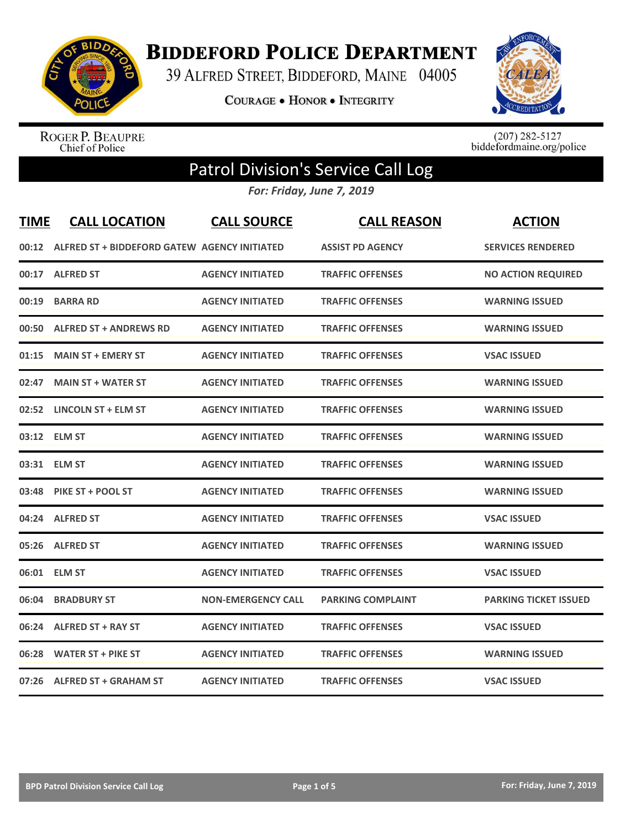

**BIDDEFORD POLICE DEPARTMENT** 

39 ALFRED STREET, BIDDEFORD, MAINE 04005

**COURAGE . HONOR . INTEGRITY** 



ROGER P. BEAUPRE<br>Chief of Police

 $(207)$  282-5127<br>biddefordmaine.org/police

## Patrol Division's Service Call Log

*For: Friday, June 7, 2019*

| <b>TIME</b> | <b>CALL LOCATION</b>                               | <b>CALL SOURCE</b>        | <b>CALL REASON</b>       | <b>ACTION</b>                |
|-------------|----------------------------------------------------|---------------------------|--------------------------|------------------------------|
|             | 00:12 ALFRED ST + BIDDEFORD GATEW AGENCY INITIATED |                           | <b>ASSIST PD AGENCY</b>  | <b>SERVICES RENDERED</b>     |
|             | 00:17 ALFRED ST                                    | <b>AGENCY INITIATED</b>   | <b>TRAFFIC OFFENSES</b>  | <b>NO ACTION REQUIRED</b>    |
| 00:19       | <b>BARRA RD</b>                                    | <b>AGENCY INITIATED</b>   | <b>TRAFFIC OFFENSES</b>  | <b>WARNING ISSUED</b>        |
|             | 00:50 ALFRED ST + ANDREWS RD                       | <b>AGENCY INITIATED</b>   | <b>TRAFFIC OFFENSES</b>  | <b>WARNING ISSUED</b>        |
|             | 01:15 MAIN ST + EMERY ST                           | <b>AGENCY INITIATED</b>   | <b>TRAFFIC OFFENSES</b>  | <b>VSAC ISSUED</b>           |
|             | 02:47 MAIN ST + WATER ST                           | <b>AGENCY INITIATED</b>   | <b>TRAFFIC OFFENSES</b>  | <b>WARNING ISSUED</b>        |
|             | 02:52 LINCOLN ST + ELM ST                          | <b>AGENCY INITIATED</b>   | <b>TRAFFIC OFFENSES</b>  | <b>WARNING ISSUED</b>        |
|             | 03:12 ELM ST                                       | <b>AGENCY INITIATED</b>   | <b>TRAFFIC OFFENSES</b>  | <b>WARNING ISSUED</b>        |
|             | 03:31 ELM ST                                       | <b>AGENCY INITIATED</b>   | <b>TRAFFIC OFFENSES</b>  | <b>WARNING ISSUED</b>        |
|             | 03:48 PIKE ST + POOL ST                            | <b>AGENCY INITIATED</b>   | <b>TRAFFIC OFFENSES</b>  | <b>WARNING ISSUED</b>        |
|             | 04:24 ALFRED ST                                    | <b>AGENCY INITIATED</b>   | <b>TRAFFIC OFFENSES</b>  | <b>VSAC ISSUED</b>           |
|             | 05:26 ALFRED ST                                    | <b>AGENCY INITIATED</b>   | <b>TRAFFIC OFFENSES</b>  | <b>WARNING ISSUED</b>        |
|             | 06:01 ELM ST                                       | <b>AGENCY INITIATED</b>   | <b>TRAFFIC OFFENSES</b>  | <b>VSAC ISSUED</b>           |
|             | 06:04 BRADBURY ST                                  | <b>NON-EMERGENCY CALL</b> | <b>PARKING COMPLAINT</b> | <b>PARKING TICKET ISSUED</b> |
|             | 06:24 ALFRED ST + RAY ST                           | <b>AGENCY INITIATED</b>   | <b>TRAFFIC OFFENSES</b>  | <b>VSAC ISSUED</b>           |
|             | 06:28 WATER ST + PIKE ST                           | <b>AGENCY INITIATED</b>   | <b>TRAFFIC OFFENSES</b>  | <b>WARNING ISSUED</b>        |
|             | 07:26 ALFRED ST + GRAHAM ST                        | <b>AGENCY INITIATED</b>   | <b>TRAFFIC OFFENSES</b>  | <b>VSAC ISSUED</b>           |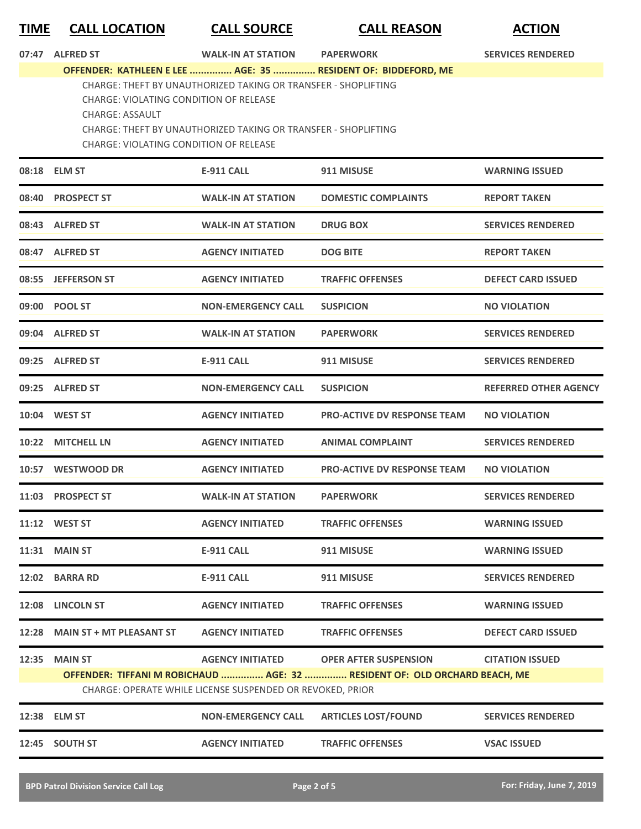## **TIME CALL LOCATION CALL SOURCE CALL REASON ACTION**

**07:47 ALFRED ST WALK-IN AT STATION PAPERWORK SERVICES RENDERED OFFENDER: KATHLEEN E LEE ............... AGE: 35 ............... RESIDENT OF: BIDDEFORD, ME** CHARGE: THEFT BY UNAUTHORIZED TAKING OR TRANSFER - SHOPLIFTING CHARGE: VIOLATING CONDITION OF RELEASE CHARGE: ASSAULT CHARGE: THEFT BY UNAUTHORIZED TAKING OR TRANSFER - SHOPLIFTING CHARGE: VIOLATING CONDITION OF RELEASE

|       | 08:18 ELM ST                   | <b>E-911 CALL</b>                                                                    | 911 MISUSE                                                                                                 | <b>WARNING ISSUED</b>        |
|-------|--------------------------------|--------------------------------------------------------------------------------------|------------------------------------------------------------------------------------------------------------|------------------------------|
| 08:40 | <b>PROSPECT ST</b>             | <b>WALK-IN AT STATION</b>                                                            | <b>DOMESTIC COMPLAINTS</b>                                                                                 | <b>REPORT TAKEN</b>          |
|       | 08:43 ALFRED ST                | <b>WALK-IN AT STATION</b>                                                            | <b>DRUG BOX</b>                                                                                            | <b>SERVICES RENDERED</b>     |
|       | 08:47 ALFRED ST                | <b>AGENCY INITIATED</b>                                                              | <b>DOG BITE</b>                                                                                            | <b>REPORT TAKEN</b>          |
|       | 08:55 JEFFERSON ST             | <b>AGENCY INITIATED</b>                                                              | <b>TRAFFIC OFFENSES</b>                                                                                    | <b>DEFECT CARD ISSUED</b>    |
|       | 09:00 POOL ST                  | <b>NON-EMERGENCY CALL</b>                                                            | <b>SUSPICION</b>                                                                                           | <b>NO VIOLATION</b>          |
|       | 09:04 ALFRED ST                | <b>WALK-IN AT STATION</b>                                                            | <b>PAPERWORK</b>                                                                                           | <b>SERVICES RENDERED</b>     |
|       | 09:25 ALFRED ST                | <b>E-911 CALL</b>                                                                    | 911 MISUSE                                                                                                 | <b>SERVICES RENDERED</b>     |
|       | 09:25 ALFRED ST                | <b>NON-EMERGENCY CALL</b>                                                            | <b>SUSPICION</b>                                                                                           | <b>REFERRED OTHER AGENCY</b> |
|       | 10:04 WEST ST                  | <b>AGENCY INITIATED</b>                                                              | <b>PRO-ACTIVE DV RESPONSE TEAM</b>                                                                         | <b>NO VIOLATION</b>          |
| 10:22 | <b>MITCHELL LN</b>             | <b>AGENCY INITIATED</b>                                                              | <b>ANIMAL COMPLAINT</b>                                                                                    | <b>SERVICES RENDERED</b>     |
|       | 10:57 WESTWOOD DR              | <b>AGENCY INITIATED</b>                                                              | <b>PRO-ACTIVE DV RESPONSE TEAM</b>                                                                         | <b>NO VIOLATION</b>          |
| 11:03 | <b>PROSPECT ST</b>             | <b>WALK-IN AT STATION</b>                                                            | <b>PAPERWORK</b>                                                                                           | <b>SERVICES RENDERED</b>     |
|       | 11:12 WEST ST                  | <b>AGENCY INITIATED</b>                                                              | <b>TRAFFIC OFFENSES</b>                                                                                    | <b>WARNING ISSUED</b>        |
| 11:31 | <b>MAIN ST</b>                 | <b>E-911 CALL</b>                                                                    | 911 MISUSE                                                                                                 | <b>WARNING ISSUED</b>        |
| 12:02 | <b>BARRA RD</b>                | <b>E-911 CALL</b>                                                                    | 911 MISUSE                                                                                                 | <b>SERVICES RENDERED</b>     |
| 12:08 | <b>LINCOLN ST</b>              | <b>AGENCY INITIATED</b>                                                              | <b>TRAFFIC OFFENSES</b>                                                                                    | <b>WARNING ISSUED</b>        |
|       | 12:28 MAIN ST + MT PLEASANT ST | <b>AGENCY INITIATED</b>                                                              | <b>TRAFFIC OFFENSES</b>                                                                                    | <b>DEFECT CARD ISSUED</b>    |
| 12:35 | <b>MAIN ST</b>                 | <b>AGENCY INITIATED</b><br>CHARGE: OPERATE WHILE LICENSE SUSPENDED OR REVOKED, PRIOR | <b>OPER AFTER SUSPENSION</b><br>OFFENDER: TIFFANI M ROBICHAUD  AGE: 32  RESIDENT OF: OLD ORCHARD BEACH, ME | <b>CITATION ISSUED</b>       |
|       | 12:38 ELM ST                   | <b>NON-EMERGENCY CALL</b>                                                            | <b>ARTICLES LOST/FOUND</b>                                                                                 | <b>SERVICES RENDERED</b>     |
|       | 12:45 SOUTH ST                 | <b>AGENCY INITIATED</b>                                                              | <b>TRAFFIC OFFENSES</b>                                                                                    | <b>VSAC ISSUED</b>           |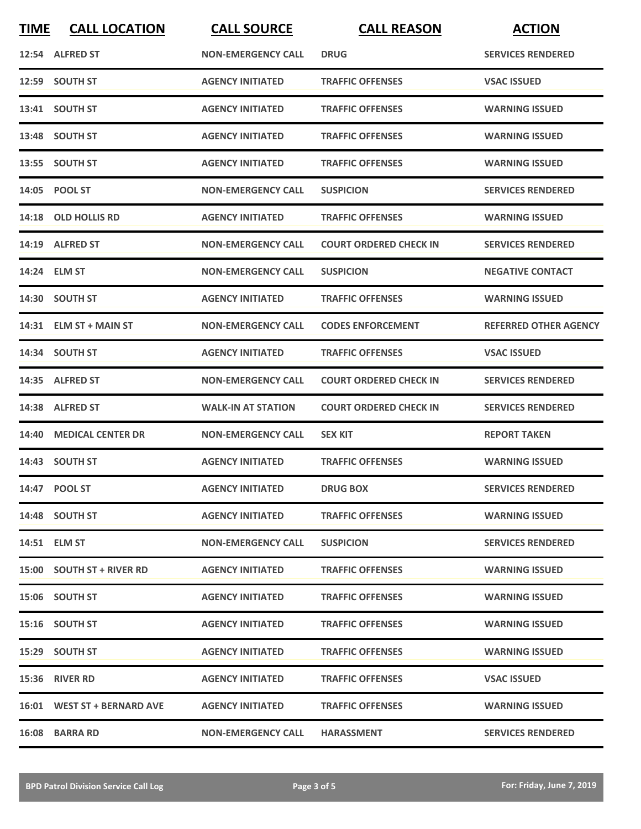| <b>TIME</b> | <b>CALL LOCATION</b>        | <b>CALL SOURCE</b>        | <b>CALL REASON</b>            | <b>ACTION</b>                |
|-------------|-----------------------------|---------------------------|-------------------------------|------------------------------|
|             | 12:54 ALFRED ST             | <b>NON-EMERGENCY CALL</b> | <b>DRUG</b>                   | <b>SERVICES RENDERED</b>     |
|             | 12:59 SOUTH ST              | <b>AGENCY INITIATED</b>   | <b>TRAFFIC OFFENSES</b>       | <b>VSAC ISSUED</b>           |
|             | 13:41 SOUTH ST              | <b>AGENCY INITIATED</b>   | <b>TRAFFIC OFFENSES</b>       | <b>WARNING ISSUED</b>        |
|             | 13:48 SOUTH ST              | <b>AGENCY INITIATED</b>   | <b>TRAFFIC OFFENSES</b>       | <b>WARNING ISSUED</b>        |
|             | 13:55 SOUTH ST              | <b>AGENCY INITIATED</b>   | <b>TRAFFIC OFFENSES</b>       | <b>WARNING ISSUED</b>        |
|             | 14:05 POOL ST               | <b>NON-EMERGENCY CALL</b> | <b>SUSPICION</b>              | <b>SERVICES RENDERED</b>     |
|             | 14:18 OLD HOLLIS RD         | <b>AGENCY INITIATED</b>   | <b>TRAFFIC OFFENSES</b>       | <b>WARNING ISSUED</b>        |
|             | 14:19 ALFRED ST             | <b>NON-EMERGENCY CALL</b> | <b>COURT ORDERED CHECK IN</b> | <b>SERVICES RENDERED</b>     |
|             | 14:24 ELM ST                | <b>NON-EMERGENCY CALL</b> | <b>SUSPICION</b>              | <b>NEGATIVE CONTACT</b>      |
|             | 14:30 SOUTH ST              | <b>AGENCY INITIATED</b>   | <b>TRAFFIC OFFENSES</b>       | <b>WARNING ISSUED</b>        |
|             | 14:31 ELM ST + MAIN ST      | <b>NON-EMERGENCY CALL</b> | <b>CODES ENFORCEMENT</b>      | <b>REFERRED OTHER AGENCY</b> |
|             | 14:34 SOUTH ST              | <b>AGENCY INITIATED</b>   | <b>TRAFFIC OFFENSES</b>       | <b>VSAC ISSUED</b>           |
|             | 14:35 ALFRED ST             | <b>NON-EMERGENCY CALL</b> | <b>COURT ORDERED CHECK IN</b> | <b>SERVICES RENDERED</b>     |
|             | 14:38 ALFRED ST             | <b>WALK-IN AT STATION</b> | <b>COURT ORDERED CHECK IN</b> | <b>SERVICES RENDERED</b>     |
| 14:40       | <b>MEDICAL CENTER DR</b>    | <b>NON-EMERGENCY CALL</b> | <b>SEX KIT</b>                | <b>REPORT TAKEN</b>          |
|             | 14:43 SOUTH ST              | <b>AGENCY INITIATED</b>   | <b>TRAFFIC OFFENSES</b>       | <b>WARNING ISSUED</b>        |
|             | 14:47 POOL ST               | <b>AGENCY INITIATED</b>   | <b>DRUG BOX</b>               | <b>SERVICES RENDERED</b>     |
|             | 14:48 SOUTH ST              | <b>AGENCY INITIATED</b>   | <b>TRAFFIC OFFENSES</b>       | <b>WARNING ISSUED</b>        |
|             | 14:51 ELM ST                | <b>NON-EMERGENCY CALL</b> | <b>SUSPICION</b>              | <b>SERVICES RENDERED</b>     |
|             | 15:00 SOUTH ST + RIVER RD   | <b>AGENCY INITIATED</b>   | <b>TRAFFIC OFFENSES</b>       | <b>WARNING ISSUED</b>        |
|             | 15:06 SOUTH ST              | <b>AGENCY INITIATED</b>   | <b>TRAFFIC OFFENSES</b>       | <b>WARNING ISSUED</b>        |
|             | 15:16 SOUTH ST              | <b>AGENCY INITIATED</b>   | <b>TRAFFIC OFFENSES</b>       | <b>WARNING ISSUED</b>        |
|             | 15:29 SOUTH ST              | <b>AGENCY INITIATED</b>   | <b>TRAFFIC OFFENSES</b>       | <b>WARNING ISSUED</b>        |
|             | 15:36 RIVER RD              | <b>AGENCY INITIATED</b>   | <b>TRAFFIC OFFENSES</b>       | <b>VSAC ISSUED</b>           |
|             | 16:01 WEST ST + BERNARD AVE | <b>AGENCY INITIATED</b>   | <b>TRAFFIC OFFENSES</b>       | <b>WARNING ISSUED</b>        |
|             | 16:08 BARRA RD              | <b>NON-EMERGENCY CALL</b> | <b>HARASSMENT</b>             | <b>SERVICES RENDERED</b>     |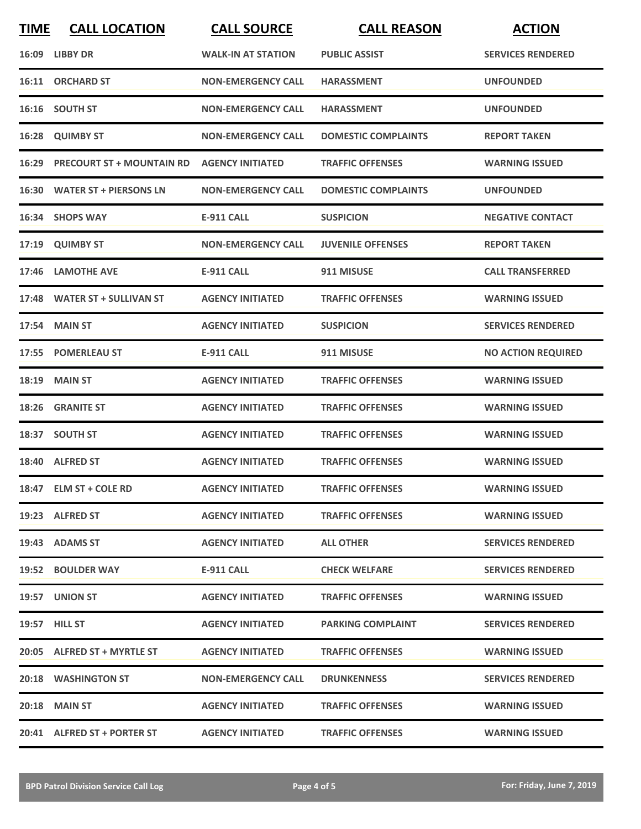| <b>TIME</b> | <b>CALL LOCATION</b>            | <b>CALL SOURCE</b>        | <b>CALL REASON</b>         | <b>ACTION</b>             |
|-------------|---------------------------------|---------------------------|----------------------------|---------------------------|
|             | 16:09 LIBBY DR                  | <b>WALK-IN AT STATION</b> | <b>PUBLIC ASSIST</b>       | <b>SERVICES RENDERED</b>  |
|             | 16:11 ORCHARD ST                | <b>NON-EMERGENCY CALL</b> | <b>HARASSMENT</b>          | <b>UNFOUNDED</b>          |
|             | 16:16 SOUTH ST                  | <b>NON-EMERGENCY CALL</b> | <b>HARASSMENT</b>          | <b>UNFOUNDED</b>          |
|             | 16:28 QUIMBY ST                 | <b>NON-EMERGENCY CALL</b> | <b>DOMESTIC COMPLAINTS</b> | <b>REPORT TAKEN</b>       |
|             | 16:29 PRECOURT ST + MOUNTAIN RD | <b>AGENCY INITIATED</b>   | <b>TRAFFIC OFFENSES</b>    | <b>WARNING ISSUED</b>     |
|             | 16:30 WATER ST + PIERSONS LN    | <b>NON-EMERGENCY CALL</b> | <b>DOMESTIC COMPLAINTS</b> | <b>UNFOUNDED</b>          |
|             | 16:34 SHOPS WAY                 | <b>E-911 CALL</b>         | <b>SUSPICION</b>           | <b>NEGATIVE CONTACT</b>   |
|             | 17:19 QUIMBY ST                 | <b>NON-EMERGENCY CALL</b> | <b>JUVENILE OFFENSES</b>   | <b>REPORT TAKEN</b>       |
| 17:46       | <b>LAMOTHE AVE</b>              | <b>E-911 CALL</b>         | 911 MISUSE                 | <b>CALL TRANSFERRED</b>   |
|             | 17:48 WATER ST + SULLIVAN ST    | <b>AGENCY INITIATED</b>   | <b>TRAFFIC OFFENSES</b>    | <b>WARNING ISSUED</b>     |
|             | 17:54 MAIN ST                   | <b>AGENCY INITIATED</b>   | <b>SUSPICION</b>           | <b>SERVICES RENDERED</b>  |
|             | 17:55 POMERLEAU ST              | <b>E-911 CALL</b>         | 911 MISUSE                 | <b>NO ACTION REQUIRED</b> |
| 18:19       | <b>MAIN ST</b>                  | <b>AGENCY INITIATED</b>   | <b>TRAFFIC OFFENSES</b>    | <b>WARNING ISSUED</b>     |
| 18:26       | <b>GRANITE ST</b>               | <b>AGENCY INITIATED</b>   | <b>TRAFFIC OFFENSES</b>    | <b>WARNING ISSUED</b>     |
|             | 18:37 SOUTH ST                  | <b>AGENCY INITIATED</b>   | <b>TRAFFIC OFFENSES</b>    | <b>WARNING ISSUED</b>     |
|             | 18:40 ALFRED ST                 | <b>AGENCY INITIATED</b>   | <b>TRAFFIC OFFENSES</b>    | <b>WARNING ISSUED</b>     |
|             | 18:47 ELM ST + COLE RD          | <b>AGENCY INITIATED</b>   | <b>TRAFFIC OFFENSES</b>    | <b>WARNING ISSUED</b>     |
|             | 19:23 ALFRED ST                 | <b>AGENCY INITIATED</b>   | <b>TRAFFIC OFFENSES</b>    | <b>WARNING ISSUED</b>     |
|             | 19:43 ADAMS ST                  | <b>AGENCY INITIATED</b>   | <b>ALL OTHER</b>           | <b>SERVICES RENDERED</b>  |
|             | 19:52 BOULDER WAY               | E-911 CALL                | <b>CHECK WELFARE</b>       | <b>SERVICES RENDERED</b>  |
|             | 19:57 UNION ST                  | <b>AGENCY INITIATED</b>   | <b>TRAFFIC OFFENSES</b>    | <b>WARNING ISSUED</b>     |
|             | <b>19:57 HILL ST</b>            | <b>AGENCY INITIATED</b>   | <b>PARKING COMPLAINT</b>   | <b>SERVICES RENDERED</b>  |
|             | 20:05 ALFRED ST + MYRTLE ST     | <b>AGENCY INITIATED</b>   | <b>TRAFFIC OFFENSES</b>    | <b>WARNING ISSUED</b>     |
|             | <b>20:18 WASHINGTON ST</b>      | <b>NON-EMERGENCY CALL</b> | <b>DRUNKENNESS</b>         | <b>SERVICES RENDERED</b>  |
|             | <b>20:18 MAIN ST</b>            | <b>AGENCY INITIATED</b>   | <b>TRAFFIC OFFENSES</b>    | <b>WARNING ISSUED</b>     |
|             | 20:41 ALFRED ST + PORTER ST     | <b>AGENCY INITIATED</b>   | <b>TRAFFIC OFFENSES</b>    | <b>WARNING ISSUED</b>     |